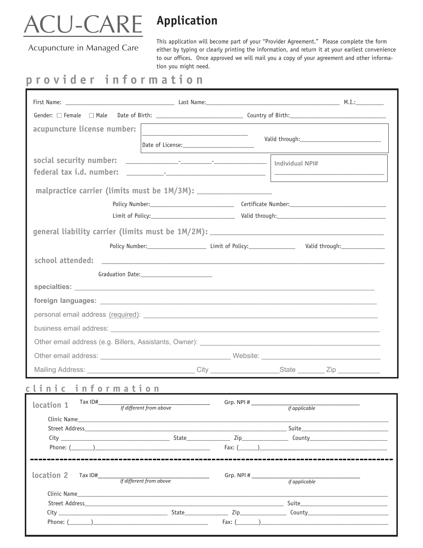## <u>CU-CARE</u>

## **Application**

Acupuncture in Managed Care

This application will become part of your "Provider Agreement." Please complete the form either by typing or clearly printing the information, and return it at your earliest convenience to our offices. Once approved we will mail you a copy of your agreement and other information you might need.

## **provider information**

| acupuncture license number:                                                                                                                                                                                                          |                         |            |               |  |
|--------------------------------------------------------------------------------------------------------------------------------------------------------------------------------------------------------------------------------------|-------------------------|------------|---------------|--|
|                                                                                                                                                                                                                                      |                         |            |               |  |
|                                                                                                                                                                                                                                      |                         |            |               |  |
|                                                                                                                                                                                                                                      |                         |            |               |  |
| malpractice carrier (limits must be 1M/3M): _____________________                                                                                                                                                                    |                         |            |               |  |
|                                                                                                                                                                                                                                      |                         |            |               |  |
|                                                                                                                                                                                                                                      |                         |            |               |  |
|                                                                                                                                                                                                                                      |                         |            |               |  |
|                                                                                                                                                                                                                                      |                         |            |               |  |
| school attended: <u>New York: New York: New York: New York: New York: New York: New York: New York: New York: New York: New York: New York: New York: New York: New York: New York: New York: New York: New York: New York: New </u> |                         |            |               |  |
|                                                                                                                                                                                                                                      |                         |            |               |  |
|                                                                                                                                                                                                                                      |                         |            |               |  |
|                                                                                                                                                                                                                                      |                         |            |               |  |
|                                                                                                                                                                                                                                      |                         |            |               |  |
|                                                                                                                                                                                                                                      |                         |            |               |  |
|                                                                                                                                                                                                                                      |                         |            |               |  |
|                                                                                                                                                                                                                                      |                         |            |               |  |
| Mailing Address: ________________________________City ____________________State _________Zip ____________                                                                                                                            |                         |            |               |  |
| clinic information                                                                                                                                                                                                                   |                         |            |               |  |
| $location 1$ Tax ID#                                                                                                                                                                                                                 | If different from above | Grp. NPI # | if applicable |  |
|                                                                                                                                                                                                                                      |                         |            |               |  |
|                                                                                                                                                                                                                                      |                         |            |               |  |
|                                                                                                                                                                                                                                      |                         |            |               |  |
|                                                                                                                                                                                                                                      |                         |            |               |  |
| location 2<br>Tax $ID#$                                                                                                                                                                                                              | If different from above | Grp. NPI#  | if applicable |  |
|                                                                                                                                                                                                                                      |                         |            |               |  |
|                                                                                                                                                                                                                                      |                         |            |               |  |
|                                                                                                                                                                                                                                      |                         |            |               |  |
|                                                                                                                                                                                                                                      |                         |            |               |  |